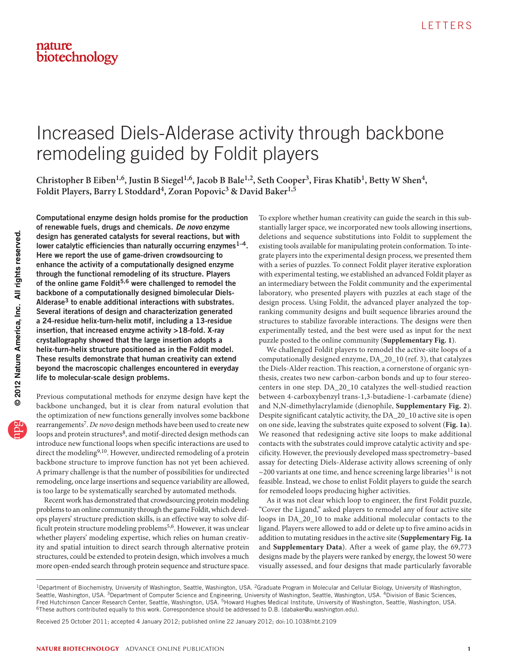# Increased Diels-Alderase activity through backbone remodeling guided by Foldit players

Christopher B Eiben<sup>1,6</sup>, Justin B Siegel<sup>1,6</sup>, Jacob B Bale<sup>1,2</sup>, Seth Cooper<sup>3</sup>, Firas Khatib<sup>1</sup>, Betty W Shen<sup>4</sup>, Foldit Players, Barry L Stoddard<sup>4</sup>, Zoran Popovic<sup>3</sup> & David Baker<sup>1,5</sup>

Computational enzyme design holds promise for the production of renewable fuels, drugs and chemicals. *De novo* enzyme design has generated catalysts for several reactions, but with lower catalytic efficiencies than naturally occurring enzymes $1-4$ . Here we report the use of game-driven crowdsourcing to enhance the activity of a computationally designed enzyme through the functional remodeling of its structure. Players of the online game Foldit<sup>[5,](#page-2-2)6</sup> were challenged to remodel the backbone of a computationally designed bimolecular Diels-Alderase<sup>[3](#page-2-4)</sup> to enable additional interactions with substrates. Several iterations of design and characterization generated a 24-residue helix-turn-helix motif, including a 13-residue insertion, that increased enzyme activity >18-fold. X-ray crystallography showed that the large insertion adopts a helix-turn-helix structure positioned as in the Foldit model. These results demonstrate that human creativity can extend beyond the macroscopic challenges encountered in everyday life to molecular-scale design problems.

Previous computational methods for enzyme design have kept the backbone unchanged, but it is clear from natural evolution that the optimization of new functions generally involves some backbone rearrangement[s7](#page-2-5). *De novo* design methods have been used to create new loops and protein structures<sup>8</sup>, and motif-directed design methods can introduce new functional loops when specific interactions are used to direct the modeling<sup>[9,](#page-2-7)[10](#page-2-8)</sup>. However, undirected remodeling of a protein backbone structure to improve function has not yet been achieved. A primary challenge is that the number of possibilities for undirected remodeling, once large insertions and sequence variability are allowed, is too large to be systematically searched by automated methods.

Recent work has demonstrated that crowdsourcing protein modeling problems to an online community through the game Foldit, which develops players' structure prediction skills, is an effective way to solve dif-ficult protein structure modeling problems<sup>5,[6](#page-2-3)</sup>. However, it was unclear whether players' modeling expertise, which relies on human creativity and spatial intuition to direct search through alternative protein structures, could be extended to protein design, which involves a much more open-ended search through protein sequence and structure space. To explore whether human creativity can guide the search in this substantially larger space, we incorporated new tools allowing insertions, deletions and sequence substitutions into Foldit to supplement the existing tools available for manipulating protein conformation. To integrate players into the experimental design process, we presented them with a series of puzzles. To connect Foldit player iterative exploration with experimental testing, we established an advanced Foldit player as an intermediary between the Foldit community and the experimental laboratory, who presented players with puzzles at each stage of the design process. Using Foldit, the advanced player analyzed the topranking community designs and built sequence libraries around the structures to stabilize favorable interactions. The designs were then experimentally tested, and the best were used as input for the next puzzle posted to the online community (**Supplementary Fig. 1**).

We challenged Foldit players to remodel the active-site loops of a computationally designed enzyme, DA\_20\_10 (ref. 3), that catalyzes the Diels-Alder reaction. This reaction, a cornerstone of organic synthesis, creates two new carbon-carbon bonds and up to four stereocenters in one step. DA\_20\_10 catalyzes the well-studied reaction between 4-carboxybenzyl trans-1,3-butadiene-1-carbamate (diene) and N,N-dimethylacrylamide (dienophile, **Supplementary Fig. 2**). Despite significant catalytic activity, the DA\_20\_10 active site is open on one side, leaving the substrates quite exposed to solvent (**[Fig. 1a](#page-1-0)**). We reasoned that redesigning active site loops to make additional contacts with the substrates could improve catalytic activity and specificity. However, the previously developed mass spectrometry–based assay for detecting Diels-Alderase activity allows screening of only  $\sim$ 200 variants at one time, and hence screening large libraries $^{11}$  is not feasible. Instead, we chose to enlist Foldit players to guide the search for remodeled loops producing higher activities.

As it was not clear which loop to engineer, the first Foldit puzzle, "Cover the Ligand," asked players to remodel any of four active site loops in DA\_20\_10 to make additional molecular contacts to the ligand. Players were allowed to add or delete up to five amino acids in addition to mutating residues in the active site (**Supplementary Fig. 1a** and **Supplementary Data**). After a week of game play, the 69,773 designs made by the players were ranked by energy, the lowest 50 were visually assessed, and four designs that made particularly favorable

Received 25 October 2011; accepted 4 January 2012; published online 22 January 2012; [doi:10.1038/nbt.2109](http://www.nature.com/doifinder/10.1038/nbt.2109)

<sup>&</sup>lt;sup>1</sup>Department of Biochemistry, University of Washington, Seattle, Washington, USA. <sup>2</sup>Graduate Program in Molecular and Cellular Biology, University of Washington, Seattle, Washington, USA. <sup>3</sup>Department of Computer Science and Engineering, University of Washington, Seattle, Washington, USA. <sup>4</sup>Division of Basic Sciences, Fred Hutchinson Cancer Research Center, Seattle, Washington, USA. <sup>5</sup>Howard Hughes Medical Institute, University of Washington, Seattle, Washington, USA.<br><sup>6</sup>These authors contributed equally to this work. Correspondence sh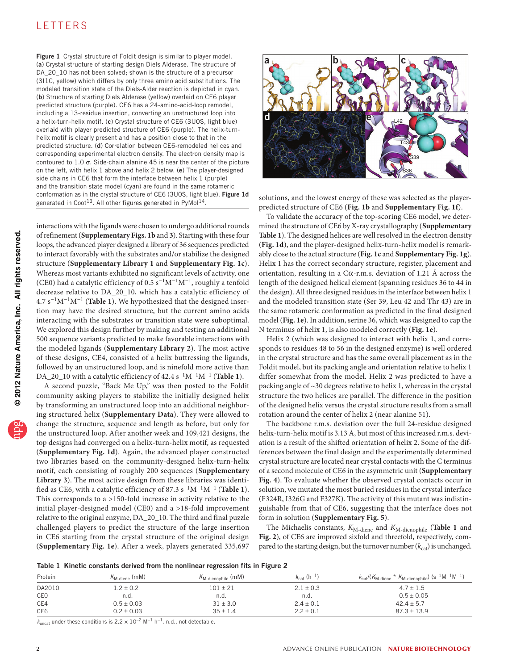# **LETTERS**

<span id="page-1-0"></span>Figure 1 Crystal structure of Foldit design is similar to player model. (a) Crystal structure of starting design Diels Alderase. The structure of DA\_20\_10 has not been solved; shown is the structure of a precursor (3I1C, yellow) which differs by only three amino acid substitutions. The modeled transition state of the Diels-Alder reaction is depicted in cyan. (b) Structure of starting Diels Alderase (yellow) overlaid on CE6 player predicted structure (purple). CE6 has a 24-amino-acid-loop remodel, including a 13-residue insertion, converting an unstructured loop into a helix-turn-helix motif. (c) Crystal structure of CE6 (3U0S, light blue) overlaid with player predicted structure of CE6 (purple). The helix-turnhelix motif is clearly present and has a position close to that in the predicted structure. (d) Correlation between CE6-remodeled helices and corresponding experimental electron density. The electron density map is contoured to  $1.0 \sigma$ . Side-chain alanine 45 is near the center of the picture on the left, with helix 1 above and helix 2 below. (e) The player-designed side chains in CE6 that form the interface between helix 1 (purple) and the transition state model (cyan) are found in the same rotameric conformation as in the crystal structure of CE6 (3U0S, light blue). [Figure 1d](#page-1-0) generated in Coot<sup>[13](#page-2-10)</sup>. All other figures generated in PyMol<sup>14</sup>.

interactions with the ligands were chosen to undergo additional rounds of refinement (**Supplementary Figs. 1b** and **3**). Starting with these four loops, the advanced player designed a library of 36 sequences predicted to interact favorably with the substrates and/or stabilize the designed structure (**Supplementary Library 1** and **Supplementary Fig. 1c**). Whereas most variants exhibited no significant levels of activity, one (CE0) had a catalytic efficiency of 0.5 s<sup>-1</sup>M<sup>-1</sup>M<sup>-1</sup>, roughly a tenfold decrease relative to DA\_20\_10, which has a catalytic efficiency of 4.7 s−1M−1M−1 (**[Table 1](#page-1-1)**). We hypothesized that the designed insertion may have the desired structure, but the current amino acids interacting with the substrates or transition state were suboptimal. We explored this design further by making and testing an additional 500 sequence variants predicted to make favorable interactions with the modeled ligands (**Supplementary Library 2**). The most active of these designs, CE4, consisted of a helix buttressing the ligands, followed by an unstructured loop, and is ninefold more active than DA\_20\_10 with a catalytic efficiency of 42.4 s<sup>-1</sup>M<sup>-1</sup>M<sup>-1</sup> (**[Table 1](#page-1-1)**).

A second puzzle, "Back Me Up," was then posted to the Foldit community asking players to stabilize the initially designed helix by transforming an unstructured loop into an additional neighboring structured helix (**Supplementary Data**). They were allowed to change the structure, sequence and length as before, but only for the unstructured loop. After another week and 109,421 designs, the top designs had converged on a helix-turn-helix motif, as requested (**Supplementary Fig. 1d**). Again, the advanced player constructed two libraries based on the community-designed helix-turn-helix motif, each consisting of roughly 200 sequences (**Supplementary Library 3**). The most active design from these libraries was identified as CE6, with a catalytic efficiency of 87.3 s−1M−1M−1 (**[Table 1](#page-1-1)**). This corresponds to a >150-fold increase in activity relative to the initial player-designed model (CE0) and a >18-fold improvement relative to the original enzyme, DA\_20\_10. The third and final puzzle challenged players to predict the structure of the large insertion in CE6 starting from the crystal structure of the original design (**Supplementary Fig. 1e**). After a week, players generated 335,697



solutions, and the lowest energy of these was selected as the playerpredicted structure of CE6 (**[Fig. 1b](#page-1-0)** and **Supplementary Fig. 1f**).

To validate the accuracy of the top-scoring CE6 model, we determined the structure of CE6 by X-ray crystallography (**Supplementary Table 1**). The designed helices are well resolved in the electron density (**[Fig. 1d](#page-1-0)**), and the player-designed helix-turn-helix model is remarkably close to the actual structure (**[Fig. 1c](#page-1-0)** and **Supplementary Fig. 1g**). Helix 1 has the correct secondary structure, register, placement and orientation, resulting in a Cα-r.m.s. deviation of 1.21 Å across the length of the designed helical element (spanning residues 36 to 44 in the design). All three designed residues in the interface between helix 1 and the modeled transition state (Ser 39, Leu 42 and Thr 43) are in the same rotameric conformation as predicted in the final designed model (**[Fig. 1e](#page-1-0)**). In addition, serine 36, which was designed to cap the N terminus of helix 1, is also modeled correctly (**[Fig. 1e](#page-1-0)**).

Helix 2 (which was designed to interact with helix 1, and corresponds to residues 48 to 56 in the designed enzyme) is well ordered in the crystal structure and has the same overall placement as in the Foldit model, but its packing angle and orientation relative to helix 1 differ somewhat from the model. Helix 2 was predicted to have a packing angle of ~30 degrees relative to helix 1, whereas in the crystal structure the two helices are parallel. The difference in the position of the designed helix versus the crystal structure results from a small rotation around the center of helix 2 (near alanine 51).

The backbone r.m.s. deviation over the full 24-residue designed helix-turn-helix motif is 3.13 Å, but most of this increased r.m.s. deviation is a result of the shifted orientation of helix 2. Some of the differences between the final design and the experimentally determined crystal structure are located near crystal contacts with the C terminus of a second molecule of CE6 in the asymmetric unit (**Supplementary Fig. 4**). To evaluate whether the observed crystal contacts occur in solution, we mutated the most buried residues in the crystal interface (F324R, I326G and F327K). The activity of this mutant was indistinguishable from that of CE6, suggesting that the interface does not form in solution (**Supplementary Fig. 5**).

The Michaelis constants,  $K_{\text{M-diene}}$  and  $K_{\text{M-dienophile}}$  ([Table 1](#page-1-1) and Fig. 2), of CE6 are improved sixfold and threefold, respectively, compared to the starting design, but the turnover number  $(k_{cat})$  is unchanged.

<span id="page-1-1"></span>Table 1 Kinetic constants derived from the nonlinear regression fits in Figure 2

| $K_{\text{M-diene}}$ (mM) | $K_{\text{M-dienophile}}$ (mM) | $k_{\text{cat}}$ (h <sup>-1</sup> ) | $k_{\mathrm{cat}}$ /( $K_{\mathrm{M\text{-}diene}}$ * $K_{\mathrm{M\text{-}dienophile}}$ ) (s $^{-1}$ M $^{-1}$ M $^{-1}$ ) |
|---------------------------|--------------------------------|-------------------------------------|-----------------------------------------------------------------------------------------------------------------------------|
| $1.2 \pm 0.2$             | $101 \pm 21$                   | $2.1 \pm 0.3$                       | $4.7 \pm 1.5$                                                                                                               |
| n.d.                      | n.d.                           | n.d.                                | $0.5 \pm 0.05$                                                                                                              |
| $0.5 \pm 0.03$            | $31 \pm 3.0$                   | $2.4 \pm 0.1$                       | $42.4 \pm 5.7$                                                                                                              |
| $0.2 \pm 0.03$            | $35 \pm 1.4$                   | $2.2 \pm 0.1$                       | $87.3 \pm 13.9$                                                                                                             |
|                           |                                |                                     |                                                                                                                             |

 $k_{\text{uncat}}$  under these conditions is  $2.2 \times 10^{-2}$  M<sup>-1</sup> h<sup>-1</sup>. n.d., not detectable.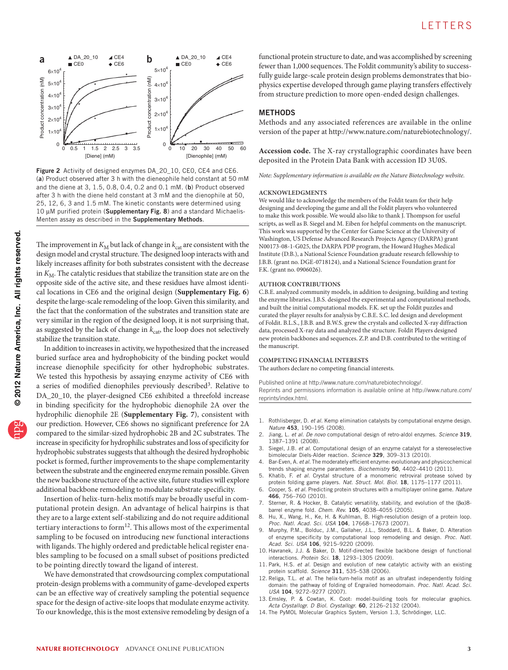

Figure 2 Activity of designed enzymes DA\_20\_10, CE0, CE4 and CE6. (a) Product observed after 3 h with the dieneophile held constant at 50 mM and the diene at 3, 1.5, 0.8, 0.4, 0.2 and 0.1 mM. (b) Product observed after 3 h with the diene held constant at 3 mM and the dienophile at 50, 25, 12, 6, 3 and 1.5 mM. The kinetic constants were determined using  $10 \mu$ M purified protein (Supplementary Fig. 8) and a standard Michaelis-Menten assay as described in the Supplementary Methods.

The improvement in  $K_M$  but lack of change in  $k_{cat}$  are consistent with the design model and crystal structure. The designed loop interacts with and likely increases affinity for both substrates consistent with the decrease in  $K_{\text{M}}$ . The catalytic residues that stabilize the transition state are on the opposite side of the active site, and these residues have almost identical locations in CE6 and the original design (**Supplementary Fig. 6**) despite the large-scale remodeling of the loop. Given this similarity, and the fact that the conformation of the substrates and transition state are very similar in the region of the designed loop, it is not surprising that, as suggested by the lack of change in  $k_{\text{cat}}$ , the loop does not selectively stabilize the transition state.

In addition to increases in activity, we hypothesized that the increased buried surface area and hydrophobicity of the binding pocket would increase dienophile specificity for other hydrophobic substrates. We tested this hypothesis by assaying enzyme activity of CE6 with a series of modified dienophiles previously described[3](#page-2-4). Relative to DA\_20\_10, the player-designed CE6 exhibited a threefold increase in binding specificity for the hydrophobic dienophile 2A over the hydrophilic dienophile 2E (**Supplementary Fig. 7**), consistent with our prediction. However, CE6 shows no significant preference for 2A compared to the similar-sized hydrophobic 2B and 2C substrates. The increase in specificity for hydrophilic substrates and loss of specificity for hydrophobic substrates suggests that although the desired hydrophobic pocket is formed, further improvements to the shape complementarity between the substrate and the engineered enzyme remain possible. Given the new backbone structure of the active site, future studies will explore additional backbone remodeling to modulate substrate specificity.

Insertion of helix-turn-helix motifs may be broadly useful in computational protein design. An advantage of helical hairpins is that they are to a large extent self-stabilizing and do not require additional tertiary interactions to form<sup>[12](#page-2-12)</sup>. This allows most of the experimental sampling to be focused on introducing new functional interactions with ligands. The highly ordered and predictable helical register enables sampling to be focused on a small subset of positions predicted to be pointing directly toward the ligand of interest.

We have demonstrated that crowdsourcing complex computational protein-design problems with a community of game-developed experts can be an effective way of creatively sampling the potential sequence space for the design of active-site loops that modulate enzyme activity. To our knowledge, this is the most extensive remodeling by design of a functional protein structure to date, and was accomplished by screening fewer than 1,000 sequences. The Foldit community's ability to successfully guide large-scale protein design problems demonstrates that biophysics expertise developed through game playing transfers effectively from structure prediction to more open-ended design challenges.

## **METHODS**

Methods and any associated references are available in the online version of the paper at http://www.nature.com/naturebiotechnology/.

**Accession code.** The X-ray crystallographic coordinates have been deposited in the Protein Data Bank with accession ID 3U0S.

*Note: Supplementary information is available on the Nature [Biotechnology](http://www.nature.com/naturebiotechnology/) website.*

#### **Acknowledgments**

We would like to acknowledge the members of the Foldit team for their help designing and developing the game and all the Foldit players who volunteered to make this work possible. We would also like to thank J. Thompson for useful scripts, as well as B. Siegel and M. Eiben for helpful comments on the manuscript. This work was supported by the Center for Game Science at the University of Washington, US Defense Advanced Research Projects Agency (DARPA) grant N00173-08-1-G025, the DARPA PDP program, the Howard Hughes Medical Institute (D.B.), a National Science Foundation graduate research fellowship to J.B.B. (grant no. DGE-0718124), and a National Science Foundation grant for F.K. (grant no. 0906026).

#### **AUTHOR CONTRIBUTIONS**

C.B.E. analyzed community models, in addition to designing, building and testing the enzyme libraries. J.B.S. designed the experimental and computational methods, and built the initial computational models. F.K. set up the Foldit puzzles and curated the player results for analysis by C.B.E. S.C. led design and development of Foldit. B.L.S., J.B.B. and B.W.S. grew the crystals and collected X-ray diffraction data, processed X-ray data and analyzed the structure. Foldit Players designed new protein backbones and sequences. Z.P. and D.B. contributed to the writing of the manuscript.

#### **COMPETING FINANCIAL INTERESTS**

The authors declare no competing financial interests.

Published online at http://www.nature.com/naturebiotechnology/.

Reprints and permissions information is available online at http://www.nature.com/ reprints/index.html.

- <span id="page-2-0"></span>1. Rothlisberger, D. *et al.* Kemp elimination catalysts by computational enzyme design. *Nature* 453, 190–195 (2008).
- 2. Jiang, L. *et al. De novo* computational design of retro-aldol enzymes. *Science* 319, 1387–1391 (2008).
- <span id="page-2-4"></span>3. Siegel, J.B. *et al.* Computational design of an enzyme catalyst for a stereoselective bimolecular Diels-Alder reaction. *Science* 329, 309–313 (2010).
- <span id="page-2-1"></span>4. Bar-Even, A. *et al.* The moderately efficient enzyme: evolutionary and physicochemical trends shaping enzyme parameters. *Biochemistry* 50, 4402–4410 (2011).
- <span id="page-2-2"></span>5. Khatib, F. *et al.* Crystal structure of a monomeric retroviral protease solved by protein folding game players. *Nat. Struct. Mol. Biol.* 18, 1175–1177 (2011).
- <span id="page-2-3"></span>6. Cooper, S. *et al.* Predicting protein structures with a multiplayer online game. *Nature* 466, 756–760 (2010).
- <span id="page-2-5"></span>7. Sterner, R. & Hocker, B. Catalytic versatility, stability, and evolution of the  $(\beta \alpha)8$ barrel enzyme fold. *Chem. Rev.* 105, 4038–4055 (2005).
- <span id="page-2-6"></span>8. Hu, X., Wang, H., Ke, H. & Kuhlman, B. High-resolution design of a protein loop. *Proc. Natl. Acad. Sci. USA* 104, 17668–17673 (2007).
- <span id="page-2-7"></span>9. Murphy, P.M., Bolduc, J.M., Gallaher, J.L., Stoddard, B.L. & Baker, D. Alteration of enzyme specificity by computational loop remodeling and design. *Proc. Natl. Acad. Sci. USA* 106, 9215–9220 (2009).
- <span id="page-2-8"></span>10. Havranek, J.J. & Baker, D. Motif-directed flexible backbone design of functional interactions. *Protein Sci.* 18, 1293–1305 (2009).
- <span id="page-2-9"></span>11. Park, H.S. *et al.* Design and evolution of new catalytic activity with an existing protein scaffold. *Science* 311, 535–538 (2006).
- <span id="page-2-12"></span>12. Religa, T.L. *et al.* The helix-turn-helix motif as an ultrafast independently folding domain: the pathway of folding of Engrailed homeodomain. *Proc. Natl. Acad. Sci. USA* 104, 9272–9277 (2007).
- <span id="page-2-10"></span>13. Emsley, P. & Cowtan, K. Coot: model-building tools for molecular graphics. *Acta Crystallogr. D Biol. Crystallogr.* 60, 2126–2132 (2004).
- <span id="page-2-11"></span>14. The PyMOL Molecular Graphics System, Version 1.3, Schrödinger, LLC.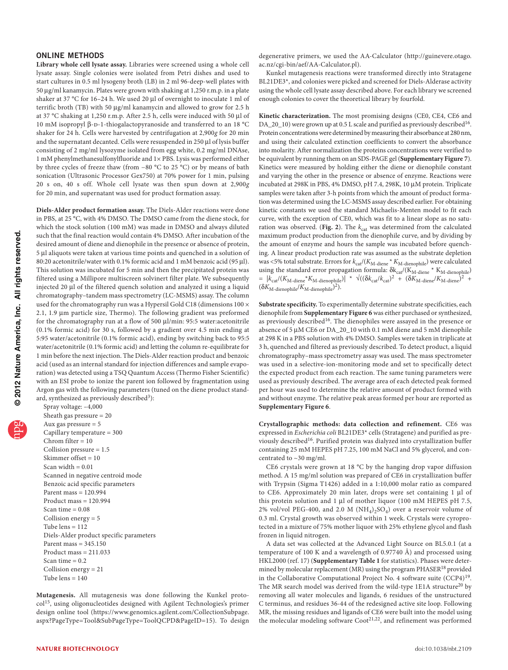### ONLINE METHODS

**Library whole cell lysate assay.** Libraries were screened using a whole cell lysate assay. Single colonies were isolated from Petri dishes and used to start cultures in 0.5 ml lysogeny broth (LB) in 2 ml 96-deep-well plates with 50 µg/ml kanamycin. Plates were grown with shaking at 1,250 r.m.p. in a plate shaker at 37 °C for 16-24 h. We used 20 µl of overnight to inoculate 1 ml of terrific broth (TB) with 50 µg/ml kanamycin and allowed to grow for 2.5 h at 37 °C shaking at 1,250 r.m.p. After 2.5 h, cells were induced with 50 µl of 10 mM isopropyl β-D-1-thiogalactopyranoside and transferred to an 18 °C shaker for 24 h. Cells were harvested by centrifugation at 2,900*g* for 20 min and the supernatant decanted. Cells were resuspended in 250 µl of lysis buffer consisting of 2 mg/ml lysozyme isolated from egg white, 0.2 mg/ml DNAse, 1 mM phenylmethanesulfonylfluoride and 1× PBS. Lysis was performed either by three cycles of freeze thaw (from −80 °C to 25 °C) or by means of bath sonication (Ultrasonic Processor Gex750) at 70% power for 1 min, pulsing 20 s on, 40 s off. Whole cell lysate was then spun down at 2,900*g* for 20 min, and supernatant was used for product formation assay.

**Diels-Alder product formation assay.** The Diels-Alder reactions were done in PBS, at 25 °C, with 4% DMSO. The DMSO came from the diene stock, for which the stock solution (100 mM) was made in DMSO and always diluted such that the final reaction would contain 4% DMSO. After incubation of the desired amount of diene and dienophile in the presence or absence of protein, 5 µl aliquots were taken at various time points and quenched in a solution of 80:20 acetonitrile/water with 0.1% formic acid and 1 mM benzoic acid (95 µl). This solution was incubated for 5 min and then the precipitated protein was filtered using a Millipore multiscreen solvinert filter plate. We subsequently injected 20 µl of the filtered quench solution and analyzed it using a liquid chromatography–tandem mass spectrometry (LC-MSMS) assay. The column used for the chromatography run was a Hypersil Gold C18 (dimensions 100 × 2.1, 1.9 µm particle size, Thermo). The following gradient was preformed for the chromatography run at a flow of 500 µl/min: 95:5 water:acetonitrile (0.1% formic acid) for 30 s, followed by a gradient over 4.5 min ending at 5:95 water/acetonitrile (0.1% formic acid), ending by switching back to 95:5 water/acetonitrile (0.1% formic acid) and letting the column re-equilibrate for 1 min before the next injection. The Diels-Alder reaction product and benzoic acid (used as an internal standard for injection differences and sample evaporation) was detected using a TSQ Quantum Access (Thermo Fisher Scientific) with an ESI probe to ionize the parent ion followed by fragmentation using Argon gas with the following parameters (tuned on the diene product standard, synthesized as previously described<sup>3</sup>):

**Mutagenesis.** All mutagenesis was done following the Kunkel protocol[15](#page-4-0), using oligonucleotides designed with Agilent Technologies's primer design online tool [\(https://www.genomics.agilent.com/CollectionSubpage.](https://www.genomics.agilent.com/CollectionSubPage.aspx?PageType=Tool&SubpageType=ToolQCPD&PageID=15) [aspx?PageType=Tool&SubPageType=ToolQCPD&PageID=15\)](https://www.genomics.agilent.com/CollectionSubPage.aspx?PageType=Tool&SubpageType=ToolQCPD&PageID=15). To design

Spray voltage: –4,000 Sheath gas pressure = 20 Aux gas pressure = 5 Capillary temperature = 300 Chrom filter = 10 Collision pressure = 1.5 Skimmer offset = 10 Scan width  $= 0.01$ Scanned in negative centroid mode Benzoic acid specific parameters Parent mass = 120.994 Product mass = 120.994 Scan time  $= 0.08$ Collision energy = 5 Tube lens = 112 Diels-Alder product specific parameters Parent mass = 345.150

Product mass = 211.033 Scan time  $= 0.2$ Collision energy = 21 Tube lens = 140

degenerative primers, we used the AA-Calculator ([http://guinevere.otago.](http://guinevere.otago.ac.nz/cgi-bin/aef/AA-Calculator.pl) [ac.nz/cgi-bin/aef/AA-Calculator.pl\)](http://guinevere.otago.ac.nz/cgi-bin/aef/AA-Calculator.pl).

Kunkel mutagenesis reactions were transformed directly into Stratagene BL21DE3\*, and colonies were picked and screened for Diels-Alderase activity using the whole cell lysate assay described above. For each library we screened enough colonies to cover the theoretical library by fourfold.

**Kinetic characterization.** The most promising designs (CE0, CE4, CE6 and DA\_20\_10) were grown up at 0.5 L scale and purified as previously described<sup>16</sup>. Protein concentrations were determined by measuring their absorbance at 280 nm, and using their calculated extinction coefficients to convert the absorbance into molarity. After normalization the proteins concentrations were verified to be equivalent by running them on an SDS-PAGE gel (**Supplementary Figure 7**). Kinetics were measured by holding either the diene or dienophile constant and varying the other in the presence or absence of enzyme. Reactions were incubated at 298K in PBS, 4% DMSO, pH 7.4, 298K, 10 µM protein. Triplicate samples were taken after 3-h points from which the amount of product formation was determined using the LC-MSMS assay described earlier. For obtaining kinetic constants we used the standard Michaelis-Menten model to fit each curve, with the exception of CE0, which was fit to a linear slope as no saturation was observed. (Fig. 2). The  $k_{\text{cat}}$  was determined from the calculated maximum product production from the dienophile curve, and by dividing by the amount of enzyme and hours the sample was incubated before quenching. A linear product production rate was assumed as the substrate depletion was <5% total substrate. Errors for  $k_{\text{cat}}/(K_{\text{M}-\text{diene}} * K_{\text{M}-\text{dienophile}})$  were calculated using the standard error propagation formula:  $\delta k_{\rm cat}/(K_{\rm M\mbox{-}diene}$  \*  $K_{\rm M\mbox{-}dienophile})$  $=$   $|k_{\text{cat}}/(K_{\text{M}-\text{diene}}*K_{\text{M}-\text{dienophile}})|$  \*  $\sqrt{((\delta k_{\text{cat}}/k_{\text{cat}})^2 + (\delta K_{\text{M}-\text{diene}}/K_{\text{M}-\text{diene}})^2}$  +  $(\delta K_{\text{M-dienophile}}/K_{\text{M-dienophile}})^2$ ).

**Substrate specificity.** To experimentally determine substrate specificities, each dienophile from **Supplementary Figure 6** was either purchased or synthesized, as previously described<sup>[16](#page-4-1)</sup>. The dienophiles were assayed in the presence or absence of 5 µM CE6 or DA\_20\_10 with 0.1 mM diene and 5 mM dienophile at 298 K in a PBS solution with 4% DMSO. Samples were taken in triplicate at 3 h, quenched and filtered as previously described. To detect product, a liquid chromatography–mass spectrometry assay was used. The mass spectrometer was used in a selective-ion-monitoring mode and set to specifically detect the expected product from each reaction. The same tuning parameters were used as previously described. The average area of each detected peak formed per hour was used to determine the relative amount of product formed with and without enzyme. The relative peak areas formed per hour are reported as **Supplementary Figure 6**.

**Crystallographic methods: data collection and refinement.** CE6 was expressed in *Escherichia coli* BL21DE3\* cells (Stratagene) and purified as previously described<sup>16</sup>. Purified protein was dialyzed into crystallization buffer containing 25 mM HEPES pH 7.25, 100 mM NaCl and 5% glycerol, and concentrated to  ${\sim}30$  mg/ml.

CE6 crystals were grown at 18 °C by the hanging drop vapor diffusion method. A 15 mg/ml solution was prepared of CE6 in crystallization buffer with Trypsin (Sigma T1426) added in a 1:10,000 molar ratio as compared to CE6. Approximately 20 min later, drops were set containing 1 µl of this protein solution and 1 µl of mother liquor (100 mM HEPES pH 7.5, 2% vol/vol PEG-400, and 2.0 M (NH<sub>4</sub>)<sub>2</sub>SO<sub>4</sub>) over a reservoir volume of 0.3 ml. Crystal growth was observed within 1 week. Crystals were cyroprotected in a mixture of 75% mother liquor with 25% ethylene glycol and flash frozen in liquid nitrogen.

A data set was collected at the Advanced Light Source on BL5.0.1 (at a temperature of 100 K and a wavelength of 0.97740 Å) and processed using HKL2000 (ref. 17) (**Supplementary Table 1** for statistics). Phases were deter-mined by molecular replacement (MR) using the program PHASER<sup>[18](#page-4-2)</sup> provided in the Collaborative Computational Project No. 4 software suite (CCP4)[19.](#page-4-3) The MR search model was derived from the wild-type 1E1A structure<sup>20</sup> by removing all water molecules and ligands, 6 residues of the unstructured C terminus, and residues 36-44 of the redesigned active site loop. Following MR, the missing residues and ligands of CE6 were built into the model using the molecular modeling software Coot<sup>[21,](#page-4-5)22</sup>, and refinement was performed

**© 2012 Nature America, Inc. All rights reserved.**

© 2012 Nature America, Inc. All rights reserved